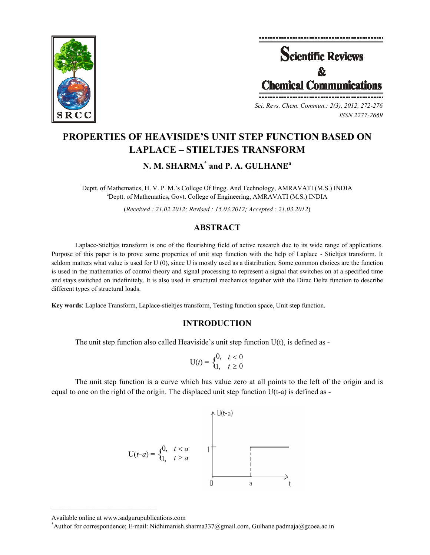



*Sci. Revs. Chem. Commun.: 2(3), 2012, 272-276 ISSN 2277-2669* 

# **PROPERTIES OF HEAVISIDE'S UNIT STEP FUNCTION BASED ON LAPLACE – STIELTJES TRANSFORM**

## **N. M. SHARMA\* and P. A. GULHANE<sup>a</sup>**

Deptt. of Mathematics, H. V. P. M.'s College Of Engg. And Technology, AMRAVATI (M.S.) INDIA a Deptt. of Mathematics**,** Govt. College of Engineering, AMRAVATI (M.S.) INDIA

(*Received : 21.02.2012; Revised : 15.03.2012; Accepted : 21.03.2012*)

## **ABSTRACT**

Laplace-Stieltjes transform is one of the flourishing field of active research due to its wide range of applications. Purpose of this paper is to prove some properties of unit step function with the help of Laplace - Stieltjes transform. It seldom matters what value is used for U (0), since U is mostly used as a distribution. Some common choices are the function is used in the mathematics of control theory and signal processing to represent a signal that switches on at a specified time and stays switched on indefinitely. It is also used in structural mechanics together with the Dirac Delta function to describe different types of structural loads.

**Key words**: Laplace Transform, Laplace-stieltjes transform, Testing function space, Unit step function.

#### **INTRODUCTION**

The unit step function also called Heaviside's unit step function  $U(t)$ , is defined as -

$$
\mathbf{U}(t) = \begin{cases} 0, & t < 0 \\ 1, & t \ge 0 \end{cases}
$$

The unit step function is a curve which has value zero at all points to the left of the origin and is equal to one on the right of the origin. The displaced unit step function  $U(t-a)$  is defined as -



Available online at www.sadgurupublications.com \*

 $\mathcal{L}=\{1,2,3,4,5\}$ 

<sup>\*</sup>Author for correspondence; E-mail: Nidhimanish.sharma337@gmail.com, Gulhane.padmaja@gcoea.ac.in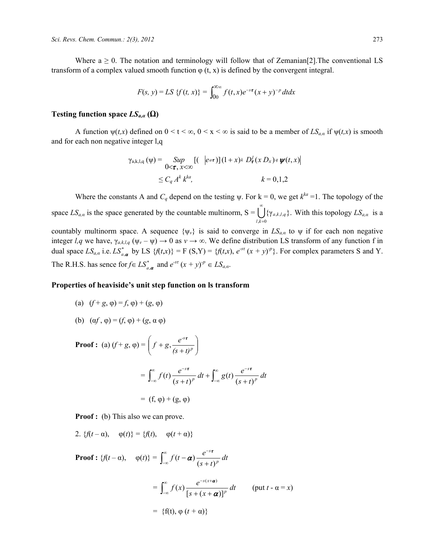Where  $a \ge 0$ . The notation and terminology will follow that of Zemanian<sup>[2]</sup>. The conventional LS transform of a complex valued smooth function  $\varphi$  (t, x) is defined by the convergent integral.

$$
F(s, y) = LS \{ f(t, x) \} = \int_{0}^{\infty} f(t, x) e^{-s\tau} (x + y)^{-p} dt dx
$$

#### **Testing function space** *LSa,α* **(Ω)**

A function  $\psi(t,x)$  defined on  $0 \le t \le \infty$ ,  $0 \le x \le \infty$  is said to be a member of  $LS_{a,\alpha}$  if  $\psi(t,x)$  is smooth and for each non negative integer l,q

$$
\gamma_{a,k,l,q}(\psi) = \sup_{0 < \tau, x < \infty} [(-|e^{a\tau})](1+x)^k D_{\tau}^l(x D_x) q \psi(t,x)]
$$
\n
$$
\leq C_q A^k k^{ka}, \qquad k = 0,1,2
$$

Where the constants A and  $C_q$  depend on the testing  $\psi$ . For  $k = 0$ , we get  $k^{ka} = 1$ . The topology of the space  $LS_{a,a}$  is the space generated by the countable multinorm,  $S = \bigcup_{k \in \mathbb{Z}}$ ∞  $,k=0$  $\{\gamma_{a,k,l,q}\}.$ *l k*  $a_k$ ,  $l, q$   $\}$ . With this topology  $LS_{a,\alpha}$  is a countably multinorm space. A sequence  $\{\psi_v\}$  is said to converge in  $LS_{a,a}$  to  $\psi$  if for each non negative integer *l,q* we have,  $\gamma_{a,k,l,q}$  ( $\psi_v - \psi$ )  $\to 0$  as  $v \to \infty$ . We define distribution LS transform of any function f in dual space  $LS_{a,\alpha}$  i.e.  $LS_{a,\alpha}^*$  by LS  $\{f(t,x)\} = F(S,Y) = \{f(t,x), e^{st}(x+y)^p\}$ . For complex parameters S and Y. The R.H.S. has sence for  $f \in LS^*_{a,\boldsymbol{\alpha}}$  and  $e^{st}(x+y)^p \in LS_{a,\alpha}$ .

#### **Properties of heaviside's unit step function on ls transform**

- (a)  $(f+g, \varphi) = f, \varphi) + (g, \varphi)$
- (b)  $(\alpha f, \varphi) = (f, \varphi) + (g, \alpha \varphi)$

**Proof :** (a)  $(f+g, \varphi) = \left| f+g, \frac{e}{(g+g)^p} \right|$ ⎠ ⎞  $\overline{\phantom{a}}$ ⎝  $\sqrt{}$  $+g, \frac{e^{-s\tau}}{(s+t)^p}$  $(s + t)$  $f + g, \frac{e^{-s\tau}}{f(x)}$  $= \int f(t) \frac{e^{t}}{t^2} dt + \int g(t) \frac{e^{t}}{t^2} dt$  $s + t$  $dt + \int_{0}^{\infty} g(t) \frac{e}{t}$  $f(t)$   $\frac{e^{-s\tau}}{(s+t)^p} dt + \int_{-\infty}^{\infty} g(t) \frac{e^{-s\tau}}{(s+t)^p}$ *p*  $\int_{-\infty}^{\infty} f(t) \frac{e^{-s\tau}}{(s+t)^p} dt + \int_{-\infty}^{\infty}$ −∞ ∞  $e^{-s\tau}$   $e^{\infty}$   $e^{-\tau}$ −∞ − +  $(t)$   $\frac{e^{-s\tau}}{(s+t)^p} dt + \int_{-\infty}^{\infty} g(t) \frac{e^{-s\tau}}{(s+t)}$  $= (f, \varphi) + (g, \varphi)$ 

**Proof :** (b) This also we can prove.

2.  ${f(t - \alpha), \varphi(t)} = {f(t), \varphi(t + \alpha)}$ 

**Proof :** { $f(t-\alpha)$ ,  $\varphi(t)$ } =  $\int f(t-\alpha) \frac{e^{t-\alpha}}{t-\alpha} dt$  $\int_{-\infty}^{\infty} f(t-\boldsymbol{\alpha}) \frac{e^{-s\boldsymbol{\tau}}}{(s+t)^p}$ −∞  $(t-\alpha)\frac{e^{-s\tau}}{(s+t)}$ α

$$
= \int_{-\infty}^{\infty} f(x) \frac{e^{-s(x+\boldsymbol{\alpha})}}{[s+(x+\boldsymbol{\alpha})]^p} dt \qquad (\text{put } t - \alpha = x)
$$

$$
= \{f(t), \varphi(t+\alpha)\}
$$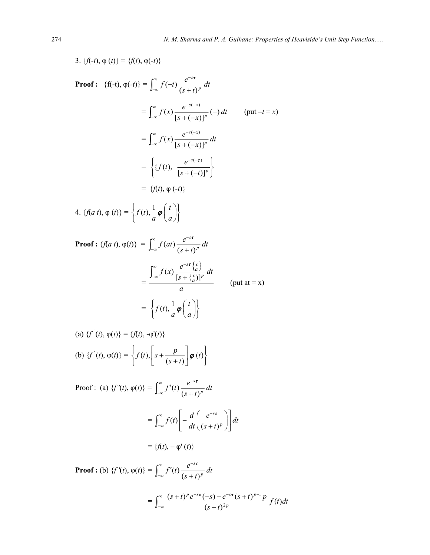3. 
$$
\{f(-t), \varphi(t)\} = \{f(t), \varphi(-t)\}
$$
  
\nProof:  $\{f(-t), \varphi(-t)\} = \int_{-\infty}^{\infty} f(-t) \frac{e^{-s\tau}}{(s+t)^p} dt$   
\n
$$
= \int_{-\infty}^{\infty} f(x) \frac{e^{-s(-x)}}{[s+(-x)]^p} (-) dt \qquad (\text{put } -t = x)
$$
\n
$$
= \int_{-\infty}^{\infty} f(x) \frac{e^{-s(-x)}}{[s+(-x)]^p} dt
$$
\n
$$
= \{f(t), \frac{e^{-s(-\tau)}}{[s+(-t)]^p}\}
$$
\n
$$
= \{f(t), \varphi(-t)\}
$$
\n4.  $\{f(a t), \varphi(t)\} = \left\{f(t), \frac{1}{a} \varphi\left(\frac{t}{a}\right)\right\}$   
\nProof:  $\{f(a t), \varphi(t)\} = \int_{-\infty}^{\infty} f(at) \frac{e^{-s\tau}}{(s+t)^p} dt$   
\n
$$
= \frac{\int_{-\infty}^{\infty} f(x) \frac{e^{-s\tau} \{\frac{x}{a}\}}{[s+ \{\frac{x}{a}\}]^p} dt}{a} \qquad (\text{put } at = x)
$$
\n
$$
= \{f(t), \frac{1}{a} \varphi\left(\frac{t}{a}\right)\}
$$

(a) 
$$
\{f'(t), \varphi(t)\} = \{f(t), -\varphi'(t)\}
$$
  
\n(b)  $\{f'(t), \varphi(t)\} = \left\{f(t), \left[s + \frac{p}{(s+t)}\right] \varphi(t)\right\}$ 

Proof : (a)  $\{f'(t), \varphi(t)\} = |f'(t) - \frac{\epsilon}{\epsilon} dt$  $\int_{-\infty}^{\infty} f'(t) \frac{e^{-s\tau}}{(s+t)^p}$ −∞  $'(t) \frac{e^{-s\tau}}{(s+t)}$ 

$$
= \int_{-\infty}^{\infty} f(t) \Bigg[ -\frac{d}{dt} \Bigg( \frac{e^{-s\tau}}{(s+t)^p} \Bigg) \Bigg] dt
$$

*s t*

+

$$
= \{f(t), -\varphi'(t)\}
$$

**Proof :** (b)  $\{f'(t), \varphi(t)\} = |f'(t) - \frac{\varepsilon}{\sqrt{2\pi}} dt$  $\int_{-\infty}^{\infty} f'(t) \frac{e^{-s\tau}}{(s+t)^p}$ −∞  $'(t) \frac{e^{-s\tau}}{(s+t)}$  $=$   $\frac{(\frac{1}{2} + i)^2 c^2 + (\frac{3}{2})^2 c^2 + (\frac{3}{2} + i)^2 P}{2 \cdot \frac{1}{2} + i^2 P} f(t) dt$  $(s+t)^p e^{-s\tau} (-s) - e^{-s\tau} (s+t)^{p-1} p$ *p*  $\frac{(s+t)^p e^{-s\tau}(-s) - e^{-s\tau} (s+t)^{p-1} p}{(s+t)^{2p}} f(t)$ 2  $\int_{-\infty}^{\infty} \frac{(s+t)^p e^{-s\tau}(-s) - e^{-s\tau} (s+t)^{p-1}}{(s+t)^{2p}}$  $-5$ **f**  $\left(\begin{array}{cc} 0 \end{array}\right)$   $a^{-5}$ **f**  $\left(\begin{array}{cc} a & b \end{array}\right)$   $p (+ t)^p e^{-s\tau}(-s) - e^{-s\tau} (s +$ 

−∞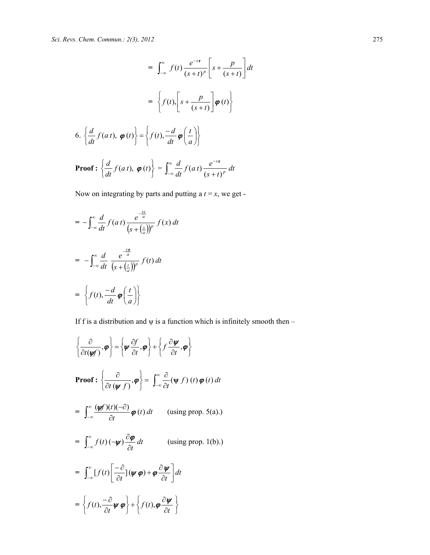$$
= \int_{-\infty}^{\infty} f(t) \frac{e^{-s\tau}}{(s+t)^p} \left[ s + \frac{p}{(s+t)} \right] dt
$$

$$
= \left\{ f(t), \left[ s + \frac{p}{(s+t)} \right] \boldsymbol{\varphi}(t) \right\}
$$
6. 
$$
\left\{ \frac{d}{dt} f(at), \boldsymbol{\varphi}(t) \right\} = \left\{ f(t), \frac{-d}{dt} \boldsymbol{\varphi} \left( \frac{t}{a} \right) \right\}
$$
**Proof :** 
$$
\left\{ \frac{d}{dt} f(at), \boldsymbol{\varphi}(t) \right\} = \int_{-\infty}^{\infty} \frac{d}{dt} f(at) \frac{e^{-s\tau}}{(s+t)^p} dt
$$

Now on integrating by parts and putting a  $t = x$ , we get -

$$
= -\int_{-\infty}^{\infty} \frac{d}{dt} f(at) \frac{e^{-\frac{sx}{a}}}{(s + (\frac{x}{a}))^p} f(x) dt
$$

$$
= -\int_{-\infty}^{\infty} \frac{d}{dt} \frac{e^{-\frac{sx}{a}}}{(s + (\frac{t}{a}))^p} f(t) dt
$$

$$
= \left\{ f(t), \frac{-d}{dt} \boldsymbol{\varphi} \left( \frac{t}{a} \right) \right\}
$$

If f is a distribution and  $\psi$  is a function which is infinitely smooth then –

$$
\left\{\frac{\partial}{\partial t(\psi f)}, \boldsymbol{\varphi}\right\} = \left\{\boldsymbol{\psi} \frac{\partial f}{\partial t}, \boldsymbol{\varphi}\right\} + \left\{f \frac{\partial \boldsymbol{\psi}}{\partial t}, \boldsymbol{\varphi}\right\}
$$
\nProof: 
$$
\left\{\frac{\partial}{\partial t(\psi f)}, \boldsymbol{\varphi}\right\} = \int_{-\infty}^{\infty} \frac{\partial}{\partial t}(\psi f)(t) \boldsymbol{\varphi}(t) dt
$$

\n
$$
= \int_{-\infty}^{\infty} \frac{(\psi f)(t)(-\partial)}{\partial t} \boldsymbol{\varphi}(t) dt \qquad \text{(using prop. 5(a).)}
$$
\n
$$
= \int_{-\infty}^{\infty} f(t) (-\psi) \frac{\partial \boldsymbol{\varphi}}{\partial t} dt \qquad \text{(using prop. 1(b).)}
$$
\n
$$
= \int_{-\infty}^{\infty} [f(t) \left[\frac{-\partial}{\partial t}](\psi \boldsymbol{\varphi}) + \boldsymbol{\varphi} \frac{\partial \boldsymbol{\psi}}{\partial t}\right] dt
$$
\n
$$
= \left\{f(t), \frac{-\partial}{\partial t} \psi \boldsymbol{\varphi}\right\} + \left\{f(t), \boldsymbol{\varphi} \frac{\partial \boldsymbol{\psi}}{\partial t}\right\}
$$